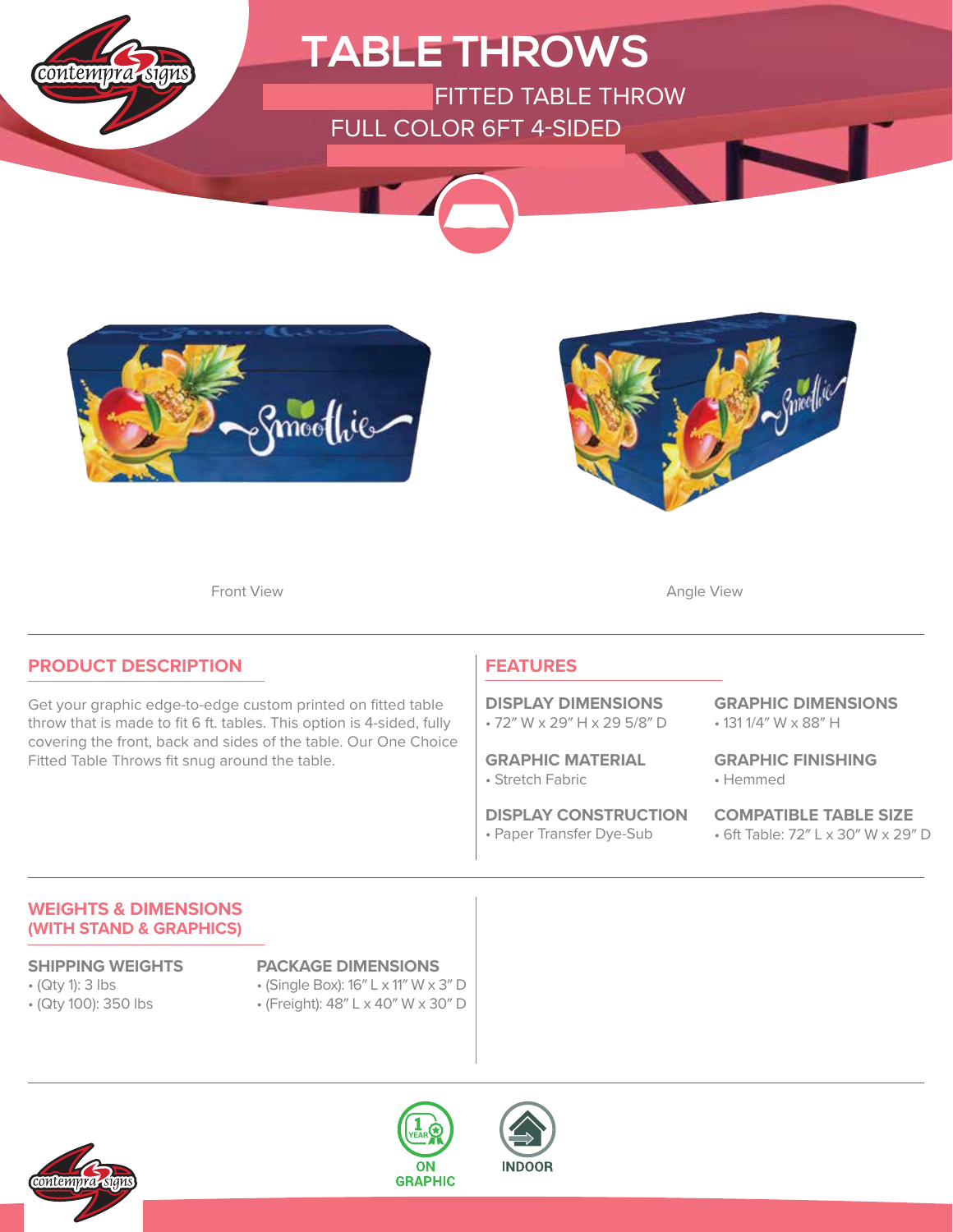





Front View **Angle View Angle View** 

### **PRODUCT DESCRIPTION**

Get your graphic edge-to-edge custom printed on fitted table throw that is made to fit 6 ft. tables. This option is 4-sided, fully covering the front, back and sides of the table. Our One Choice Fitted Table Throws fit snug around the table.

### **FEATURES**

• 72″ W x 29″ H x 29 5/8″ D **DISPLAY DIMENSIONS**

• Stretch Fabric **GRAPHIC MATERIAL**

• Paper Transfer Dye-Sub **DISPLAY CONSTRUCTION** • 131 1/4″ W x 88″ H **GRAPHIC DIMENSIONS**

• Hemmed **GRAPHIC FINISHING**

**COMPATIBLE TABLE SIZE** • 6ft Table: 72″ L x 30″ W x 29″ D

### **WEIGHTS & DIMENSIONS (WITH STAND & GRAPHICS)**

- (Qty 1): 3 lbs
- (Qty 100): 350 lbs

### **SHIPPING WEIGHTS PACKAGE DIMENSIONS**

- (Single Box): 16″ L x 11″ W x 3″ D
- (Freight): 48″ L x 40″ W x 30″ D